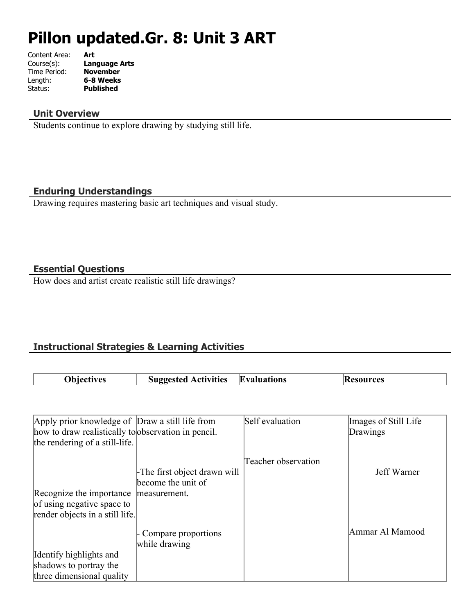# **Pillon updated.Gr. 8: Unit 3 ART**

| Content Area: | Art                  |
|---------------|----------------------|
| Course(s):    | <b>Language Arts</b> |
| Time Period:  | <b>November</b>      |
| Length:       | 6-8 Weeks            |
| Status:       | <b>Published</b>     |
|               |                      |

#### **Unit Overview**

Students continue to explore drawing by studying still life.

#### **Enduring Understandings**

Drawing requires mastering basic art techniques and visual study.

#### **Essential Questions**

How does and artist create realistic still life drawings?

## **Instructional Strategies & Learning Activities**

| ')biectives | <b>Activities</b><br>81100 | <b>Evaluations</b> | .ces |
|-------------|----------------------------|--------------------|------|
|             |                            |                    |      |

| Apply prior knowledge of Draw a still life from     |                              | Self evaluation     | Images of Still Life |
|-----------------------------------------------------|------------------------------|---------------------|----------------------|
| how to draw realistically to observation in pencil. |                              |                     | Drawings             |
| the rendering of a still-life.                      |                              |                     |                      |
|                                                     |                              | Teacher observation |                      |
|                                                     | -The first object drawn will |                     | Jeff Warner          |
|                                                     | become the unit of           |                     |                      |
| Recognize the importance                            | measurement.                 |                     |                      |
| of using negative space to                          |                              |                     |                      |
| render objects in a still life.                     |                              |                     |                      |
|                                                     | - Compare proportions        |                     | Ammar Al Mamood      |
|                                                     | while drawing                |                     |                      |
| Identify highlights and                             |                              |                     |                      |
| shadows to portray the                              |                              |                     |                      |
| three dimensional quality                           |                              |                     |                      |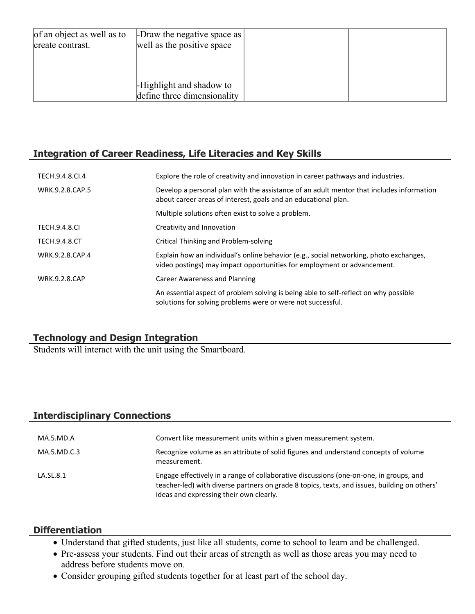| of an object as well as to<br>create contrast. | -Draw the negative space as<br>well as the positive space |  |
|------------------------------------------------|-----------------------------------------------------------|--|
|                                                | -Highlight and shadow to<br>define three dimensionality   |  |

#### **Integration of Career Readiness, Life Literacies and Key Skills**

| TECH.9.4.8.CL4       | Explore the role of creativity and innovation in career pathways and industries.                                                                                  |
|----------------------|-------------------------------------------------------------------------------------------------------------------------------------------------------------------|
| WRK.9.2.8.CAP.5      | Develop a personal plan with the assistance of an adult mentor that includes information<br>about career areas of interest, goals and an educational plan.        |
|                      | Multiple solutions often exist to solve a problem.                                                                                                                |
| <b>TECH.9.4.8.CI</b> | Creativity and Innovation                                                                                                                                         |
| <b>TECH.9.4.8.CT</b> | Critical Thinking and Problem-solving                                                                                                                             |
| WRK.9.2.8.CAP.4      | Explain how an individual's online behavior (e.g., social networking, photo exchanges,<br>video postings) may impact opportunities for employment or advancement. |
| <b>WRK.9.2.8.CAP</b> | <b>Career Awareness and Planning</b>                                                                                                                              |
|                      | An essential aspect of problem solving is being able to self-reflect on why possible<br>solutions for solving problems were or were not successful.               |

# **Technology and Design Integration**

Students will interact with the unit using the Smartboard.

# **Interdisciplinary Connections**

| MA.5.MD.A   | Convert like measurement units within a given measurement system.                                                                                                                                                                 |
|-------------|-----------------------------------------------------------------------------------------------------------------------------------------------------------------------------------------------------------------------------------|
| MA.5.MD.C.3 | Recognize volume as an attribute of solid figures and understand concepts of volume<br>measurement.                                                                                                                               |
| LA.SL.8.1   | Engage effectively in a range of collaborative discussions (one-on-one, in groups, and<br>teacher-led) with diverse partners on grade 8 topics, texts, and issues, building on others'<br>ideas and expressing their own clearly. |

#### **Differentiation**

- Understand that gifted students, just like all students, come to school to learn and be challenged.
- Pre-assess your students. Find out their areas of strength as well as those areas you may need to address before students move on.
- Consider grouping gifted students together for at least part of the school day.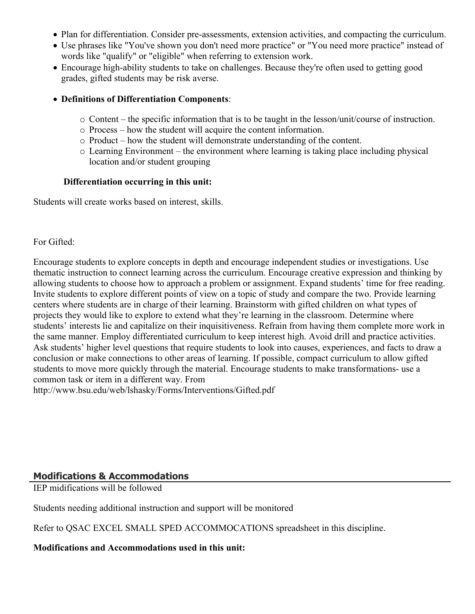- Plan for differentiation. Consider pre-assessments, extension activities, and compacting the curriculum.
- Use phrases like "You've shown you don't need more practice" or "You need more practice" instead of words like "qualify" or "eligible" when referring to extension work.
- Encourage high-ability students to take on challenges. Because they're often used to getting good grades, gifted students may be risk averse.

#### **Definitions of Differentiation Components**:

- o Content the specific information that is to be taught in the lesson/unit/course of instruction.
- o Process how the student will acquire the content information.
- o Product how the student will demonstrate understanding of the content.
- o Learning Environment the environment where learning is taking place including physical location and/or student grouping

#### **Differentiation occurring in this unit:**

Students will create works based on interest, skills.

#### For Gifted:

Encourage students to explore concepts in depth and encourage independent studies or investigations. Use thematic instruction to connect learning across the curriculum. Encourage creative expression and thinking by allowing students to choose how to approach a problem or assignment. Expand students' time for free reading. Invite students to explore different points of view on a topic of study and compare the two. Provide learning centers where students are in charge of their learning. Brainstorm with gifted children on what types of projects they would like to explore to extend what they're learning in the classroom. Determine where students' interests lie and capitalize on their inquisitiveness. Refrain from having them complete more work in the same manner. Employ differentiated curriculum to keep interest high. Avoid drill and practice activities. Ask students' higher level questions that require students to look into causes, experiences, and facts to draw a conclusion or make connections to other areas of learning. If possible, compact curriculum to allow gifted students to move more quickly through the material. Encourage students to make transformations- use a common task or item in a different way. From

http://www.bsu.edu/web/lshasky/Forms/Interventions/Gifted.pdf

#### **Modifications & Accommodations**

IEP midifications will be followed

Students needing additional instruction and support will be monitored

Refer to QSAC EXCEL SMALL SPED ACCOMMOCATIONS spreadsheet in this discipline.

#### **Modifications and Accommodations used in this unit:**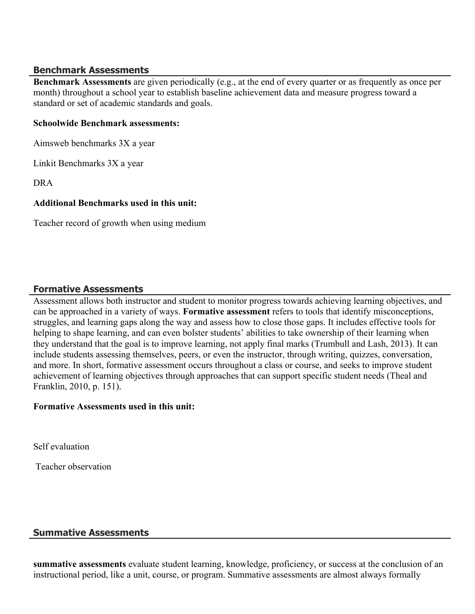#### **Benchmark Assessments**

**Benchmark Assessments** are given periodically (e.g., at the end of every quarter or as frequently as once per month) throughout a school year to establish baseline achievement data and measure progress toward a standard or set of academic standards and goals.

#### **Schoolwide Benchmark assessments:**

Aimsweb benchmarks 3X a year

Linkit Benchmarks 3X a year

DRA

#### **Additional Benchmarks used in this unit:**

Teacher record of growth when using medium

#### **Formative Assessments**

Assessment allows both instructor and student to monitor progress towards achieving learning objectives, and can be approached in a variety of ways. **Formative assessment** refers to tools that identify misconceptions, struggles, and learning gaps along the way and assess how to close those gaps. It includes effective tools for helping to shape learning, and can even bolster students' abilities to take ownership of their learning when they understand that the goal is to improve learning, not apply final marks (Trumbull and Lash, 2013). It can include students assessing themselves, peers, or even the instructor, through writing, quizzes, conversation, and more. In short, formative assessment occurs throughout a class or course, and seeks to improve student achievement of learning objectives through approaches that can support specific student needs (Theal and Franklin, 2010, p. 151).

#### **Formative Assessments used in this unit:**

Self evaluation

Teacher observation

## **Summative Assessments**

**summative assessments** evaluate student learning, knowledge, proficiency, or success at the conclusion of an instructional period, like a unit, course, or program. Summative assessments are almost always formally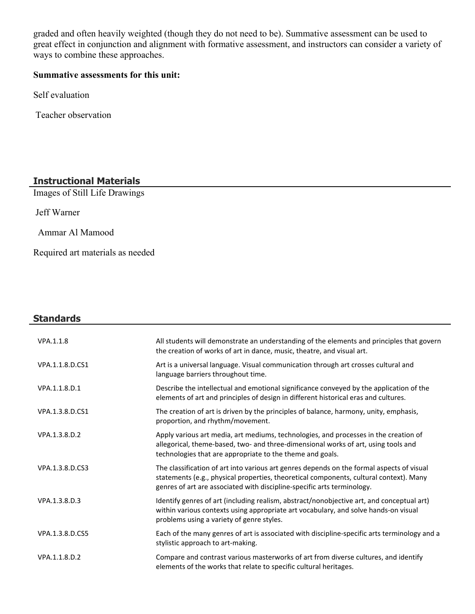graded and often heavily weighted (though they do not need to be). Summative assessment can be used to great effect in conjunction and alignment with formative assessment, and instructors can consider a variety of ways to combine these approaches.

# **Summative assessments for this unit:**

Self evaluation

Teacher observation

#### **Instructional Materials**

Images of Still Life Drawings

Jeff Warner

Ammar Al Mamood

Required art materials as needed

| <b>Standards</b> |                                                                                                                                                                                                                                                                |
|------------------|----------------------------------------------------------------------------------------------------------------------------------------------------------------------------------------------------------------------------------------------------------------|
| VPA.1.1.8        | All students will demonstrate an understanding of the elements and principles that govern<br>the creation of works of art in dance, music, theatre, and visual art.                                                                                            |
| VPA.1.1.8.D.CS1  | Art is a universal language. Visual communication through art crosses cultural and<br>language barriers throughout time.                                                                                                                                       |
| VPA.1.1.8.D.1    | Describe the intellectual and emotional significance conveyed by the application of the<br>elements of art and principles of design in different historical eras and cultures.                                                                                 |
| VPA.1.3.8.D.CS1  | The creation of art is driven by the principles of balance, harmony, unity, emphasis,<br>proportion, and rhythm/movement.                                                                                                                                      |
| VPA.1.3.8.D.2    | Apply various art media, art mediums, technologies, and processes in the creation of<br>allegorical, theme-based, two- and three-dimensional works of art, using tools and<br>technologies that are appropriate to the theme and goals.                        |
| VPA.1.3.8.D.CS3  | The classification of art into various art genres depends on the formal aspects of visual<br>statements (e.g., physical properties, theoretical components, cultural context). Many<br>genres of art are associated with discipline-specific arts terminology. |
| VPA.1.3.8.D.3    | Identify genres of art (including realism, abstract/nonobjective art, and conceptual art)<br>within various contexts using appropriate art vocabulary, and solve hands-on visual<br>problems using a variety of genre styles.                                  |
| VPA.1.3.8.D.CS5  | Each of the many genres of art is associated with discipline-specific arts terminology and a<br>stylistic approach to art-making.                                                                                                                              |
| VPA.1.1.8.D.2    | Compare and contrast various masterworks of art from diverse cultures, and identify<br>elements of the works that relate to specific cultural heritages.                                                                                                       |